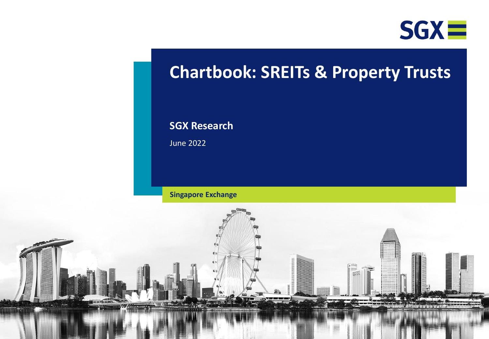

# **Chartbook: SREITs & Property Trusts**

## **SGX Research**

June 2022

**Singapore Exchange**

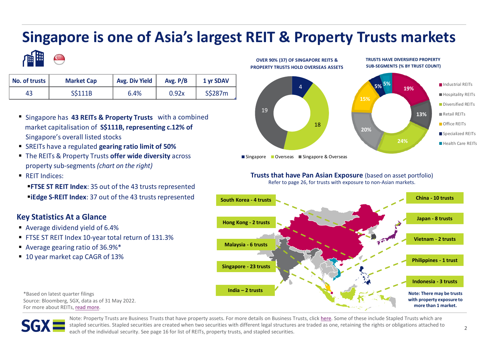# **Singapore is one of Asia's largest REIT & Property Trusts markets**



| No. of trusts | <b>Market Cap</b> | <b>Avg. Div Yield</b> | Avg. $P/B$ | 1 yr SDAV |  |  |
|---------------|-------------------|-----------------------|------------|-----------|--|--|
| 43            | S\$111B           | 6.4%                  | 0.92x      | S\$287m   |  |  |

- Singapore has **43 REITs & Property Trusts** with a combined market capitalisation of S\$111B, representing c.12% of Singapore's overall listed stocks
- **EXECTS** have a regulated gearing ratio limit of 50%
- **The REITs & Property Trusts offer wide diversity** across property sub-segments *(chart on the right)*
- REIT Indices:

*FTSE ST REIT Index: 35 out of the 43 trusts represented* **EiEdge S-REIT Index: 37 out of the 43 trusts represented** 

## **Key Statistics At a Glance**

- Average dividend yield of 6.4%
- FTSE ST REIT Index 10-year total return of 131.3%
- Average gearing ratio of 36.9%<sup>\*</sup>
- 10 year market cap CAGR of 13%



**TRUSTS HAVE DIVERSIFIED PROPERTY** 

Singapore Overseas Singapore & Overseas

**OVER 90% (37) OF SINGAPORE REITS &**

## **Trusts that have Pan Asian Exposure** (based on asset portfolio)

Refer to page 26, for trusts with exposure to non-Asian markets.



\*Based on latest quarter filings Source: Bloomberg, SGX, data as of 31 May 2022. For more about REITs, [read more](https://www.moneysense.gov.sg/articles/2018/10/understanding-real-estate-investment-trusts-reits).



Note: Property Trusts are Business Trusts that have property assets. For more details on Business Trusts, click [here](https://www2.sgx.com/research-education/securities-products#Business%20Trusts). Some of these include Stapled Trusts which are stapled securities. Stapled securities are created when two securities with different legal structures are traded as one, retaining the rights or obligations attached to each of the individual security. See page 16 for list of REITs, property trusts, and stapled securities.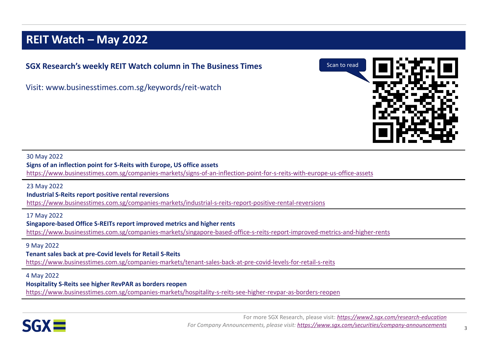## **REIT Watch – May 2022**

## **SGX Research's weekly REIT Watch column in The Business Times**

Visit: www.businesstimes.com.sg/keywords/reit-watch



### 30 May 2022

**Signs of an inflection point for S-Reits with Europe, US office assets**

<https://www.businesstimes.com.sg/companies-markets/signs-of-an-inflection-point-for-s-reits-with-europe-us-office-assets>

### 23 May 2022

**Industrial S-Reits report positive rental reversions**

<https://www.businesstimes.com.sg/companies-markets/industrial-s-reits-report-positive-rental-reversions>

17 May 2022 **Singapore-based Office S-REITs report improved metrics and higher rents** <https://www.businesstimes.com.sg/companies-markets/singapore-based-office-s-reits-report-improved-metrics-and-higher-rents>

### 9 May 2022

### **Tenant sales back at pre-Covid levels for Retail S-Reits**

<https://www.businesstimes.com.sg/companies-markets/tenant-sales-back-at-pre-covid-levels-for-retail-s-reits>

### 4 May 2022

### **Hospitality S-Reits see higher RevPAR as borders reopen**

<https://www.businesstimes.com.sg/companies-markets/hospitality-s-reits-see-higher-revpar-as-borders-reopen>

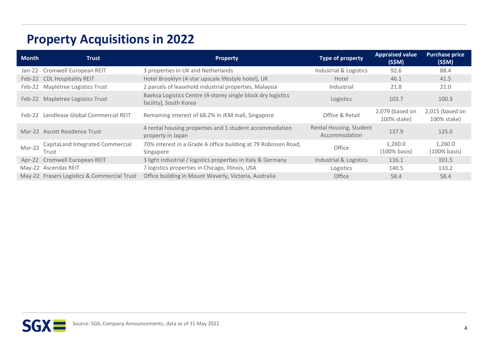# **Property Acquisitions in 2022**

| <b>Month</b> | <b>Trust</b>                                | <b>Property</b>                                                                        | <b>Type of property</b>                  | <b>Appraised value</b><br>(S\$M) | <b>Purchase price</b><br>(S\$M) |
|--------------|---------------------------------------------|----------------------------------------------------------------------------------------|------------------------------------------|----------------------------------|---------------------------------|
|              | Jan-22 Cromwell European REIT               | 3 properties in UK and Netherlands                                                     | Industrial & Logistics                   | 92.6                             | 88.4                            |
|              | Feb-22 CDL Hospitality REIT                 | Hotel Brooklyn (4-star upscale lifestyle hotel), UK                                    | Hotel                                    | 46.1                             | 41.5                            |
| Feb-22       | Mapletree Logistics Trust                   | 2 parcels of leasehold industrial properties, Malaysia                                 | Industrial                               | 21.8                             | 21.0                            |
|              | Feb-22 Mapletree Logistics Trust            | Baeksa Logistics Centre (4-storey single block dry logistics<br>facility), South Korea | Logistics                                | 103.7                            | 100.3                           |
| Feb-22       | Lendlease Global Commercial REIT            | Remaining interest of 68.2% in JEM mall, Singapore                                     | Office & Retail                          | 2,079 (based on<br>100% stake)   | 2,015 (based on<br>100% stake)  |
|              | Mar-22 Ascott Residence Trust               | 4 rental housing properties and 1 student accommodation<br>property in Japan           | Rental Housing, Student<br>Accommodation | 137.9                            | 125.0                           |
| Mar-22       | CapitaLand Integrated Commercial<br>Trust   | 70% interest in a Grade A office building at 79 Robinson Road,<br>Singapore            | Office                                   | 1,260.0<br>$(100\%$ basis)       | 1,260.0<br>$(100\%$ basis)      |
|              | Apr-22 Cromwell European REIT               | 3 light industrial / logistics properties in Italy & Germany                           | Industrial & Logistics                   | 116.1                            | 101.5                           |
|              | May-22 Ascendas REIT                        | 7 logistics properties in Chicago, Illinois, USA                                       | Logistics                                | 140.5                            | 133.2                           |
|              | May-22 Frasers Logistics & Commercial Trust | Office building in Mount Waverly, Victoria, Australia                                  | Office                                   | 58.4                             | 58.4                            |

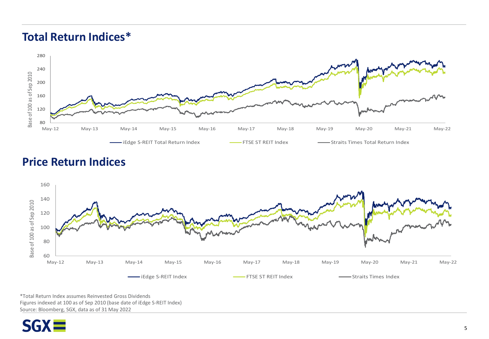## **Total Return Indices\***



## **Price Return Indices**



\*Total Return Index assumes Reinvested Gross Dividends Figures indexed at 100 as of Sep 2010 (base date of iEdge S-REIT Index) Source: Bloomberg, SGX, data as of 31 May 2022

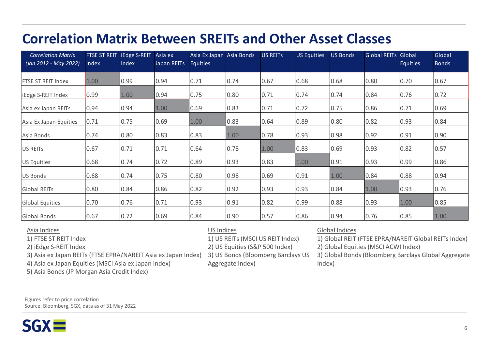# **Correlation Matrix Between SREITs and Other Asset Classes**

| <b>Correlation Matrix</b><br>(Jan 2012 - May 2022) | <b>FTSE ST REIT</b><br>Index | <b>iEdge S-REIT</b><br>Index | Asia ex<br>Japan REITs | Asia Ex Japan Asia Bonds<br><b>Equities</b> |      | <b>US REITS</b> | <b>US Equities</b> | <b>US Bonds</b> | <b>Global REITs Global</b> | <b>Equities</b> | Global<br><b>Bonds</b> |
|----------------------------------------------------|------------------------------|------------------------------|------------------------|---------------------------------------------|------|-----------------|--------------------|-----------------|----------------------------|-----------------|------------------------|
| <b>IFTSE ST REIT Index</b>                         | 1.00                         | 0.99                         | 0.94                   | 0.71                                        | 0.74 | 0.67            | 0.68               | 0.68            | 0.80                       | 0.70            | 0.67                   |
| iEdge S-REIT Index                                 | 0.99                         | 1.00                         | 0.94                   | 0.75                                        | 0.80 | 0.71            | 0.74               | 0.74            | 0.84                       | 0.76            | 0.72                   |
| Asia ex Japan REITs                                | 0.94                         | 0.94                         | 1.00                   | 0.69                                        | 0.83 | 0.71            | 0.72               | 0.75            | 0.86                       | 0.71            | 0.69                   |
| Asia Ex Japan Equities                             | 0.71                         | 0.75                         | 0.69                   | 1.00                                        | 0.83 | 0.64            | 0.89               | 0.80            | 0.82                       | 0.93            | 0.84                   |
| Asia Bonds                                         | 0.74                         | 0.80                         | 0.83                   | 0.83                                        | 1.00 | 0.78            | 0.93               | 0.98            | 0.92                       | 0.91            | 0.90                   |
| US REITS                                           | 0.67                         | 0.71                         | 0.71                   | 0.64                                        | 0.78 | 1.00            | 0.83               | 0.69            | 0.93                       | 0.82            | 0.57                   |
| US Equities                                        | 0.68                         | 0.74                         | 0.72                   | 0.89                                        | 0.93 | 0.83            | 1.00               | 0.91            | 0.93                       | 0.99            | 0.86                   |
| US Bonds                                           | 0.68                         | 0.74                         | 0.75                   | 0.80                                        | 0.98 | 0.69            | 0.91               | 1.00            | 0.84                       | 0.88            | 0.94                   |
| <b>Global REITs</b>                                | 0.80                         | 0.84                         | 0.86                   | 0.82                                        | 0.92 | 0.93            | 0.93               | 0.84            | 1.00                       | 0.93            | 0.76                   |
| Global Equities                                    | 0.70                         | 0.76                         | 0.71                   | 0.93                                        | 0.91 | 0.82            | 0.99               | 0.88            | 0.93                       | 1.00            | 0.85                   |
| Global Bonds                                       | 0.67                         | 0.72                         | 0.69                   | 0.84                                        | 0.90 | 0.57            | 0.86               | 0.94            | 0.76                       | 0.85            | 1.00                   |

### Asia Indices

1) FTSE ST REIT Index

2) iEdge S-REIT Index

3) Asia ex Japan REITs (FTSE EPRA/NAREIT Asia ex Japan Index)

4) Asia ex Japan Equities (MSCI Asia ex Japan Index)

5) Asia Bonds (JP Morgan Asia Credit Index)

### US Indices

1) US REITs (MSCI US REIT Index)

2) US Equities (S&P 500 Index)

3) US Bonds (Bloomberg Barclays US Aggregate Index)

## Global Indices

1) Global REIT (FTSE EPRA/NAREIT Global REITs Index)

2) Global Equities (MSCI ACWI Index)

3) Global Bonds (Bloomberg Barclays Global Aggregate Index)

Figures refer to price correlation Source: Bloomberg, SGX, data as of 31 May 2022

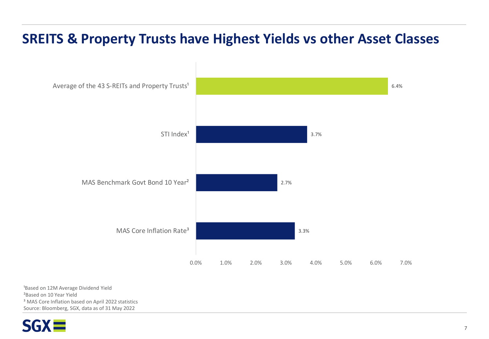# **SREITS & Property Trusts have Highest Yields vs other Asset Classes**



<sup>1</sup>Based on 12M Average Dividend Yield ²Based on 10 Year Yield <sup>3</sup> MAS Core Inflation based on April 2022 statistics Source: Bloomberg, SGX, data as of 31 May 2022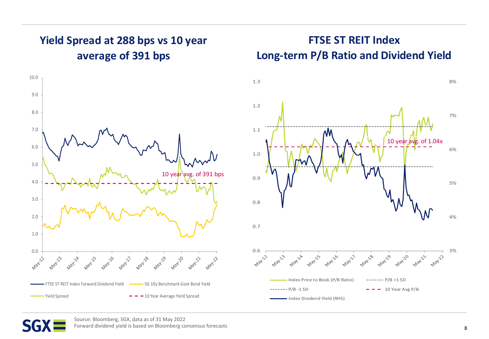## **Yield Spread at 288 bps vs 10 year average of 391 bps**



## **FTSE ST REIT Index Long-term P/B Ratio and Dividend Yield**





Source: Bloomberg, SGX, data as of 31 May 2022 Forward dividend yield is based on Bloomberg consensus forecasts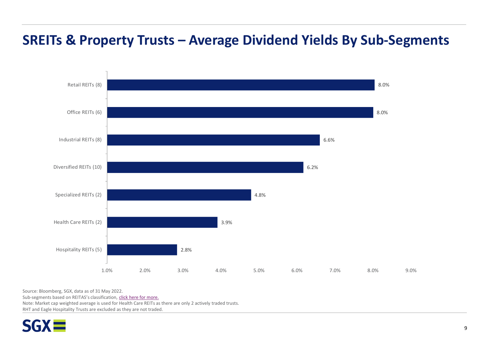# **SREITs & Property Trusts – Average Dividend Yields By Sub-Segments**



Source: Bloomberg, SGX, data as of 31 May 2022.

Sub-segments based on REITAS's classification, [click here for more.](https://www.reitas.sg/singapore-reits/s-reit-sectors/)

Note: Market cap weighted average is used for Health Care REITs as there are only 2 actively traded trusts.

RHT and Eagle Hospitality Trusts are excluded as they are not traded.

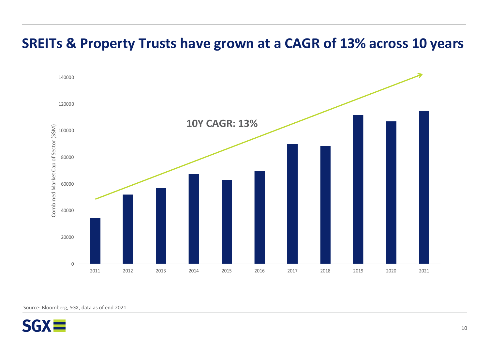

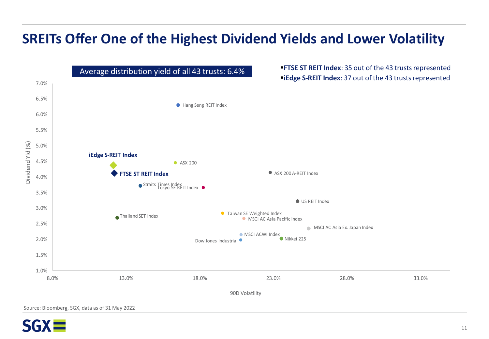# **SREITs Offer One of the Highest Dividend Yields and Lower Volatility**



**SGX**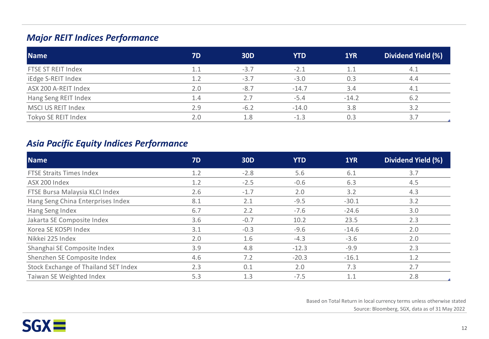## *Major REIT Indices Performance*

| <b>Name</b>          | 7D  | <b>30D</b> | YTD     | 1YR     | Dividend Yield (%) |
|----------------------|-----|------------|---------|---------|--------------------|
| FTSE ST REIT Index   | 1.1 | $-3.7$     | $-2.1$  |         | 4.1                |
| iEdge S-REIT Index   | 1.2 | $-3.7$     | $-3.0$  | 0.3     | 4.4                |
| ASX 200 A-REIT Index | 2.0 | $-8.7$     | $-14.7$ | 3.4     | 4.1                |
| Hang Seng REIT Index | 1.4 |            | $-5.4$  | $-14.2$ | 6.2                |
| MSCI US REIT Index   | 2.9 | $-6.2$     | $-14.0$ | 3.8     | 3.2                |
| Tokyo SE REIT Index  | 2.0 | 1.8        | $-1.3$  |         | 3.7                |

## *Asia Pacific Equity Indices Performance*

| <b>Name</b>                          | <b>7D</b> | <b>30D</b> | <b>YTD</b> | 1YR     | Dividend Yield (%) |
|--------------------------------------|-----------|------------|------------|---------|--------------------|
| <b>FTSE Straits Times Index</b>      | 1.2       | $-2.8$     | 5.6        | 6.1     | 3.7                |
| ASX 200 Index                        | 1.2       | $-2.5$     | $-0.6$     | 6.3     | 4.5                |
| FTSE Bursa Malaysia KLCI Index       | 2.6       | $-1.7$     | 2.0        | 3.2     | 4.3                |
| Hang Seng China Enterprises Index    | 8.1       | 2.1        | $-9.5$     | $-30.1$ | 3.2                |
| Hang Seng Index                      | 6.7       | 2.2        | $-7.6$     | $-24.6$ | 3.0                |
| Jakarta SE Composite Index           | 3.6       | $-0.7$     | 10.2       | 23.5    | 2.3                |
| Korea SE KOSPI Index                 | 3.1       | $-0.3$     | $-9.6$     | $-14.6$ | 2.0                |
| Nikkei 225 Index                     | 2.0       | 1.6        | $-4.3$     | $-3.6$  | 2.0                |
| Shanghai SE Composite Index          | 3.9       | 4.8        | $-12.3$    | $-9.9$  | 2.3                |
| Shenzhen SE Composite Index          | 4.6       | 7.2        | $-20.3$    | $-16.1$ | 1.2                |
| Stock Exchange of Thailand SET Index | 2.3       | 0.1        | 2.0        | 7.3     | 2.7                |
| Taiwan SE Weighted Index             | 5.3       | 1.3        | $-7.5$     | 1.1     | 2.8                |

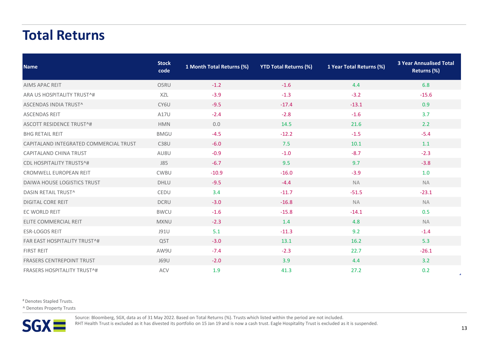# **Total Returns**

| <b>Name</b>                            | <b>Stock</b><br>code | 1 Month Total Returns (%) | <b>YTD Total Returns (%)</b> | 1 Year Total Returns (%) | <b>3 Year Annualised Total</b><br>Returns (%) |
|----------------------------------------|----------------------|---------------------------|------------------------------|--------------------------|-----------------------------------------------|
| <b>AIMS APAC REIT</b>                  | O5RU                 | $-1.2$                    | $-1.6$                       | 4.4                      | 6.8                                           |
| ARA US HOSPITALITY TRUST^#             | XZL                  | $-3.9$                    | $-1.3$                       | $-3.2$                   | $-15.6$                                       |
| ASCENDAS INDIA TRUST^                  | CY6U                 | $-9.5$                    | $-17.4$                      | $-13.1$                  | 0.9                                           |
| <b>ASCENDAS REIT</b>                   | A17U                 | $-2.4$                    | $-2.8$                       | $-1.6$                   | 3.7                                           |
| <b>ASCOTT RESIDENCE TRUST^#</b>        | <b>HMN</b>           | 0.0                       | 14.5                         | 21.6                     | 2.2                                           |
| <b>BHG RETAIL REIT</b>                 | <b>BMGU</b>          | $-4.5$                    | $-12.2$                      | $-1.5$                   | $-5.4$                                        |
| CAPITALAND INTEGRATED COMMERCIAL TRUST | <b>C38U</b>          | $-6.0$                    | 7.5                          | 10.1                     | 1.1                                           |
| <b>CAPITALAND CHINA TRUST</b>          | AU8U                 | $-0.9$                    | $-1.0$                       | $-8.7$                   | $-2.3$                                        |
| <b>CDL HOSPITALITY TRUSTS^#</b>        | J85                  | $-6.7$                    | 9.5                          | 9.7                      | $-3.8$                                        |
| CROMWELL EUROPEAN REIT                 | CWBU                 | $-10.9$                   | $-16.0$                      | $-3.9$                   | 1.0                                           |
| <b>DAIWA HOUSE LOGISTICS TRUST</b>     | <b>DHLU</b>          | $-9.5$                    | $-4.4$                       | <b>NA</b>                | <b>NA</b>                                     |
| DASIN RETAIL TRUST^                    | CEDU                 | 3.4                       | $-11.7$                      | $-51.5$                  | $-23.1$                                       |
| <b>DIGITAL CORE REIT</b>               | <b>DCRU</b>          | $-3.0$                    | $-16.8$                      | <b>NA</b>                | <b>NA</b>                                     |
| EC WORLD REIT                          | <b>BWCU</b>          | $-1.6$                    | $-15.8$                      | $-14.1$                  | 0.5                                           |
| ELITE COMMERCIAL REIT                  | <b>MXNU</b>          | $-2.3$                    | 1.4                          | 4.8                      | <b>NA</b>                                     |
| <b>ESR-LOGOS REIT</b>                  | J91U                 | 5.1                       | $-11.3$                      | 9.2                      | $-1.4$                                        |
| <b>FAR EAST HOSPITALITY TRUST^#</b>    | Q <sub>5</sub> T     | $-3.0$                    | 13.1                         | 16.2                     | 5.3                                           |
| <b>FIRST REIT</b>                      | AW9U                 | $-7.4$                    | $-2.3$                       | 22.7                     | $-26.1$                                       |
| <b>FRASERS CENTREPOINT TRUST</b>       | J69U                 | $-2.0$                    | 3.9                          | 4.4                      | 3.2                                           |
| <b>FRASERS HOSPITALITY TRUST^#</b>     | <b>ACV</b>           | 1.9                       | 41.3                         | 27.2                     | 0.2                                           |

# Denotes Stapled Trusts.

^ Denotes Property Trusts



Source: Bloomberg, SGX, data as of 31 May 2022. Based on Total Returns (%). Trusts which listed within the period are not included.

RHT Health Trust is excluded as it has divested its portfolio on 15 Jan 19 and is now a cash trust. Eagle Hospitality Trust is excluded as it is suspended.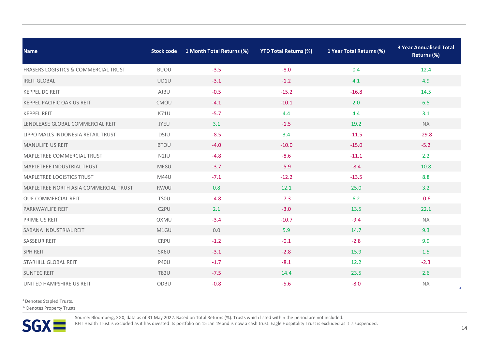| <b>Name</b>                                     | <b>Stock code</b> | 1 Month Total Returns (%) | <b>YTD Total Returns (%)</b> | 1 Year Total Returns (%) | <b>3 Year Annualised Total</b><br>Returns (%) |
|-------------------------------------------------|-------------------|---------------------------|------------------------------|--------------------------|-----------------------------------------------|
| <b>FRASERS LOGISTICS &amp; COMMERCIAL TRUST</b> | <b>BUOU</b>       | $-3.5$                    | $-8.0$                       | 0.4                      | 12.4                                          |
| <b>IREIT GLOBAL</b>                             | UD1U              | $-3.1$                    | $-1.2$                       | 4.1                      | 4.9                                           |
| <b>KEPPEL DC REIT</b>                           | <b>AJBU</b>       | $-0.5$                    | $-15.2$                      | $-16.8$                  | 14.5                                          |
| <b>KEPPEL PACIFIC OAK US REIT</b>               | CMOU              | $-4.1$                    | $-10.1$                      | 2.0                      | 6.5                                           |
| <b>KEPPEL REIT</b>                              | <b>K71U</b>       | $-5.7$                    | 4.4                          | 4.4                      | 3.1                                           |
| LENDLEASE GLOBAL COMMERCIAL REIT                | JYEU              | 3.1                       | $-1.5$                       | 19.2                     | <b>NA</b>                                     |
| LIPPO MALLS INDONESIA RETAIL TRUST              | D5IU              | $-8.5$                    | 3.4                          | $-11.5$                  | $-29.8$                                       |
| <b>MANULIFE US REIT</b>                         | <b>BTOU</b>       | $-4.0$                    | $-10.0$                      | $-15.0$                  | $-5.2$                                        |
| MAPLETREE COMMERCIAL TRUST                      | N <sub>2</sub> IU | $-4.8$                    | $-8.6$                       | $-11.1$                  | 2.2                                           |
| MAPLETREE INDUSTRIAL TRUST                      | ME8U              | $-3.7$                    | $-5.9$                       | $-8.4$                   | 10.8                                          |
| MAPLETREE LOGISTICS TRUST                       | M44U              | $-7.1$                    | $-12.2$                      | $-13.5$                  | 8.8                                           |
| MAPLETREE NORTH ASIA COMMERCIAL TRUST           | <b>RWOU</b>       | 0.8                       | 12.1                         | 25.0                     | 3.2                                           |
| OUE COMMERCIAL REIT                             | <b>TSOU</b>       | $-4.8$                    | $-7.3$                       | 6.2                      | $-0.6$                                        |
| PARKWAYLIFE REIT                                | C <sub>2</sub> PU | 2.1                       | $-3.0$                       | 13.5                     | 22.1                                          |
| PRIME US REIT                                   | OXMU              | $-3.4$                    | $-10.7$                      | $-9.4$                   | <b>NA</b>                                     |
| SABANA INDUSTRIAL REIT                          | M1GU              | 0.0                       | 5.9                          | 14.7                     | 9.3                                           |
| <b>SASSEUR REIT</b>                             | CRPU              | $-1.2$                    | $-0.1$                       | $-2.8$                   | 9.9                                           |
| <b>SPH REIT</b>                                 | SK6U              | $-3.1$                    | $-2.8$                       | 15.9                     | 1.5                                           |
| STARHILL GLOBAL REIT                            | <b>P40U</b>       | $-1.7$                    | $-8.1$                       | 12.2                     | $-2.3$                                        |
| <b>SUNTEC REIT</b>                              | <b>T82U</b>       | $-7.5$                    | 14.4                         | 23.5                     | 2.6                                           |
| UNITED HAMPSHIRE US REIT                        | ODBU              | $-0.8$                    | $-5.6$                       | $-8.0$                   | <b>NA</b>                                     |

# Denotes Stapled Trusts.

^ Denotes Property Trusts



Source: Bloomberg, SGX, data as of 31 May 2022. Based on Total Returns (%). Trusts which listed within the period are not included.

RHT Health Trust is excluded as it has divested its portfolio on 15 Jan 19 and is now a cash trust. Eagle Hospitality Trust is excluded as it is suspended.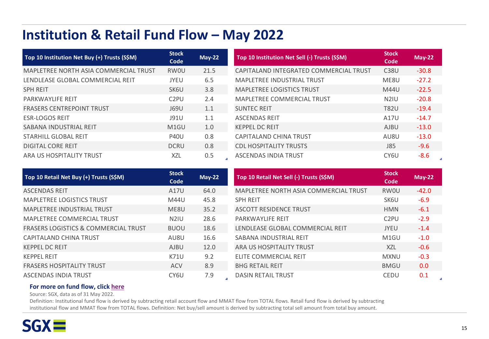# **Institution & Retail Fund Flow - May 2022**

| Top 10 Institution Net Buy (+) Trusts (S\$M) | <b>Stock</b><br>Code | $May-22$ | Top 10 Institution Net Sell (-) Trusts (S\$M) | <b>Stock</b><br>Code | $May-22$ |
|----------------------------------------------|----------------------|----------|-----------------------------------------------|----------------------|----------|
| MAPLETREE NORTH ASIA COMMERCIAL TRUST        | <b>RWOU</b>          | 21.5     | CAPITALAND INTEGRATED COMMERCIAL TRUST        | C <sub>38</sub> U    | $-30.8$  |
| LENDLEASE GLOBAL COMMERCIAL REIT             | <b>JYEU</b>          | 6.5      | <b>MAPLETREE INDUSTRIAL TRUST</b>             | ME8U                 | $-27.2$  |
| <b>SPH REIT</b>                              | SK6U                 | 3.8      | <b>MAPLETREE LOGISTICS TRUST</b>              | M44U                 | $-22.5$  |
| <b>PARKWAYLIFE REIT</b>                      | C <sub>2</sub> PU    | 2.4      | <b>MAPLETREE COMMERCIAL TRUST</b>             | N <sub>2</sub> IU    | $-20.8$  |
| <b>FRASERS CENTREPOINT TRUST</b>             | <b>J69U</b>          | 1.1      | <b>SUNTEC REIT</b>                            | <b>T82U</b>          | $-19.4$  |
| <b>ESR-LOGOS REIT</b>                        | <b>J91U</b>          | 1.1      | <b>ASCENDAS REIT</b>                          | A17U                 | $-14.7$  |
| SABANA INDUSTRIAL REIT                       | M <sub>1</sub> GU    | 1.0      | <b>KEPPEL DC REIT</b>                         | <b>AJBU</b>          | $-13.0$  |
| STARHILL GLOBAL REIT                         | <b>P40U</b>          | 0.8      | CAPITALAND CHINA TRUST                        | AU8U                 | $-13.0$  |
| <b>DIGITAL CORE REIT</b>                     | <b>DCRU</b>          | 0.8      | <b>CDL HOSPITALITY TRUSTS</b>                 | <b>J85</b>           | $-9.6$   |
| ARA US HOSPITALITY TRUST                     | XZL                  | 0.5      | <b>ASCENDAS INDIA TRUST</b>                   | CY <sub>6U</sub>     | $-8.6$   |

| Top 10 Retail Net Buy (+) Trusts (S\$M)         | <b>Stock</b><br>Code | $May-22$ | Top 10 Retail Net Sell (-) Trusts (S\$M) | <b>Stock</b><br>Code | <b>May-22</b>    |
|-------------------------------------------------|----------------------|----------|------------------------------------------|----------------------|------------------|
| <b>ASCENDAS REIT</b>                            | A17U                 | 64.0     | MAPLETREE NORTH ASIA COMMERCIAL TRUST    | <b>RWOU</b>          | $-42.0$          |
| <b>MAPLETREE LOGISTICS TRUST</b>                | M44U                 | 45.8     | <b>SPH REIT</b>                          | SK6U                 | $-6.9$           |
| <b>MAPLETREE INDUSTRIAL TRUST</b>               | ME8U                 | 35.2     | <b>ASCOTT RESIDENCE TRUST</b>            | <b>HMN</b>           | $-6.1$           |
| MAPLETREE COMMERCIAL TRUST                      | N <sub>2</sub> IU    | 28.6     | <b>PARKWAYLIFE REIT</b>                  | C <sub>2</sub> PU    | $-2.9$           |
| <b>FRASERS LOGISTICS &amp; COMMERCIAL TRUST</b> | <b>BUOU</b>          | 18.6     | LENDLEASE GLOBAL COMMERCIAL REIT         | <b>JYEU</b>          | $-1.4$           |
| CAPITALAND CHINA TRUST                          | AU8U                 | 16.6     | SABANA INDUSTRIAL REIT                   | M <sub>1</sub> GU    | $-1.0$           |
| <b>KEPPEL DC REIT</b>                           | <b>AJBU</b>          | 12.0     | ARA US HOSPITALITY TRUST                 | <b>XZL</b>           | $-0.6$           |
| <b>KEPPEL REIT</b>                              | K71U                 | 9.2      | ELITE COMMERCIAL REIT                    | <b>MXNU</b>          | $-0.3$           |
| <b>FRASERS HOSPITALITY TRUST</b>                | <b>ACV</b>           | 8.9      | <b>BHG RETAIL REIT</b>                   | <b>BMGU</b>          | 0.0 <sub>1</sub> |
| ASCENDAS INDIA TRUST                            | CY <sub>6U</sub>     | 7.9      | <b>DASIN RETAIL TRUST</b>                | <b>CEDU</b>          | 0.1              |

### **For more on fund flow, click [here](https://www2.sgx.com/research-education/data-reports)**

Source: SGX, data as of 31 May 2022.

Definition: Institutional fund flow is derived by subtracting retail account flow and MMAT flow from TOTAL flows. Retail fund flow is derived by subtracting institutional flow and MMAT flow from TOTAL flows. Definition: Net buy/sell amount is derived by subtracting total sell amount from total buy amount.



 $\Delta$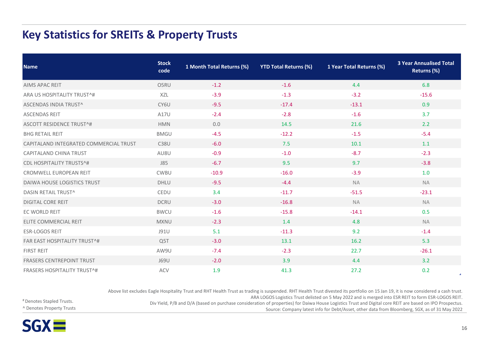## **Key Statistics for SREITs & Property Trusts**

| <b>Name</b>                            | <b>Stock</b><br>code | 1 Month Total Returns (%) | <b>YTD Total Returns (%)</b> | 1 Year Total Returns (%) | <b>3 Year Annualised Total</b><br>Returns (%) |
|----------------------------------------|----------------------|---------------------------|------------------------------|--------------------------|-----------------------------------------------|
| <b>AIMS APAC REIT</b>                  | O5RU                 | $-1.2$                    | $-1.6$                       | 4.4                      | 6.8                                           |
| ARA US HOSPITALITY TRUST^#             | <b>XZL</b>           | $-3.9$                    | $-1.3$                       | $-3.2$                   | $-15.6$                                       |
| ASCENDAS INDIA TRUST^                  | CY6U                 | $-9.5$                    | $-17.4$                      | $-13.1$                  | 0.9                                           |
| <b>ASCENDAS REIT</b>                   | A17U                 | $-2.4$                    | $-2.8$                       | $-1.6$                   | 3.7                                           |
| <b>ASCOTT RESIDENCE TRUST^#</b>        | <b>HMN</b>           | 0.0                       | 14.5                         | 21.6                     | 2.2                                           |
| <b>BHG RETAIL REIT</b>                 | <b>BMGU</b>          | $-4.5$                    | $-12.2$                      | $-1.5$                   | $-5.4$                                        |
| CAPITALAND INTEGRATED COMMERCIAL TRUST | <b>C38U</b>          | $-6.0$                    | 7.5                          | 10.1                     | 1.1                                           |
| CAPITALAND CHINA TRUST                 | AU8U                 | $-0.9$                    | $-1.0$                       | $-8.7$                   | $-2.3$                                        |
| <b>CDL HOSPITALITY TRUSTS^#</b>        | J85                  | $-6.7$                    | 9.5                          | 9.7                      | $-3.8$                                        |
| CROMWELL EUROPEAN REIT                 | <b>CWBU</b>          | $-10.9$                   | $-16.0$                      | $-3.9$                   | 1.0                                           |
| DAIWA HOUSE LOGISTICS TRUST            | <b>DHLU</b>          | $-9.5$                    | $-4.4$                       | <b>NA</b>                | <b>NA</b>                                     |
| DASIN RETAIL TRUST^                    | CEDU                 | 3.4                       | $-11.7$                      | $-51.5$                  | $-23.1$                                       |
| <b>DIGITAL CORE REIT</b>               | <b>DCRU</b>          | $-3.0$                    | $-16.8$                      | <b>NA</b>                | <b>NA</b>                                     |
| EC WORLD REIT                          | <b>BWCU</b>          | $-1.6$                    | $-15.8$                      | $-14.1$                  | 0.5                                           |
| ELITE COMMERCIAL REIT                  | <b>MXNU</b>          | $-2.3$                    | 1.4                          | 4.8                      | <b>NA</b>                                     |
| <b>ESR-LOGOS REIT</b>                  | J91U                 | 5.1                       | $-11.3$                      | 9.2                      | $-1.4$                                        |
| <b>FAR EAST HOSPITALITY TRUST^#</b>    | Q <sub>5</sub> T     | $-3.0$                    | 13.1                         | 16.2                     | 5.3                                           |
| <b>FIRST REIT</b>                      | AW9U                 | $-7.4$                    | $-2.3$                       | 22.7                     | $-26.1$                                       |
| <b>FRASERS CENTREPOINT TRUST</b>       | J69U                 | $-2.0$                    | 3.9                          | 4.4                      | 3.2                                           |
| <b>FRASERS HOSPITALITY TRUST^#</b>     | <b>ACV</b>           | 1.9                       | 41.3                         | 27.2                     | 0.2                                           |

Above list excludes Eagle Hospitality Trust and RHT Health Trust as trading is suspended. RHT Health Trust divested its portfolio on 15 Jan 19, it is now considered a cash trust.

ARA LOGOS Logistics Trust delisted on 5 May 2022 and is merged into ESR REIT to form ESR-LOGOS REIT.

Div Yield, P/B and D/A (based on purchase consideration of properties) for Daiwa House Logistics Trust and Digital core REIT are based on IPO Prospectus. Source: Company latest info for Debt/Asset, other data from Bloomberg, SGX, as of 31 May 2022

# Denotes Stapled Trusts. ^ Denotes Property Trusts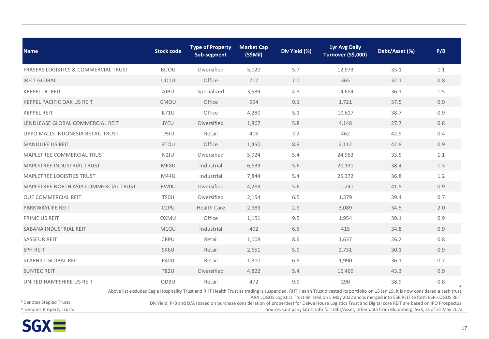| <b>Name</b>                                     | <b>Stock code</b> | <b>Type of Property</b><br>Sub-segment | <b>Market Cap</b><br>(S\$Mil) | Div Yield (%)<br>Turnover (S\$,000) |                                                                                                                                                                                                                                                                                            | Debt/Asset (%) | P/B |
|-------------------------------------------------|-------------------|----------------------------------------|-------------------------------|-------------------------------------|--------------------------------------------------------------------------------------------------------------------------------------------------------------------------------------------------------------------------------------------------------------------------------------------|----------------|-----|
| <b>FRASERS LOGISTICS &amp; COMMERCIAL TRUST</b> | <b>BUOU</b>       | Diversified                            | 5,020                         | 5.7                                 | 12,973                                                                                                                                                                                                                                                                                     | 33.1           | 1.1 |
| <b>IREIT GLOBAL</b>                             | UD1U              | Office                                 | 717                           | 7.0                                 | 365                                                                                                                                                                                                                                                                                        | 32.1           | 0.8 |
| <b>KEPPEL DC REIT</b>                           | AJBU              | Specialized                            | 3,539                         | 4.8                                 | 14,684                                                                                                                                                                                                                                                                                     | 36.1           | 1.5 |
| <b>KEPPEL PACIFIC OAK US REIT</b>               | CMOU              | Office                                 | 994                           | 9.1                                 | 1,721                                                                                                                                                                                                                                                                                      | 37.5           | 0.9 |
| <b>KEPPEL REIT</b>                              | <b>K71U</b>       | Office                                 | 4,280                         | 5.1                                 | 10,617                                                                                                                                                                                                                                                                                     | 38.7           | 0.9 |
| LENDLEASE GLOBAL COMMERCIAL REIT                | JYEU              | Diversified                            | 1,867                         | 5.8                                 | 4,148                                                                                                                                                                                                                                                                                      | 27.7           | 0.8 |
| LIPPO MALLS INDONESIA RETAIL TRUST              | D5IU              | Retail                                 | 416                           | 7.2                                 | 462                                                                                                                                                                                                                                                                                        | 42.9           | 0.4 |
| <b>MANULIFE US REIT</b>                         | <b>BTOU</b>       | Office                                 | 1,450                         | 8.9                                 | 2,112                                                                                                                                                                                                                                                                                      | 42.8           | 0.9 |
| MAPLETREE COMMERCIAL TRUST                      | N <sub>2</sub> IU | Diversified                            | 5,924                         | 5.4                                 | 24,963                                                                                                                                                                                                                                                                                     | 33.5           | 1.1 |
| MAPLETREE INDUSTRIAL TRUST                      | ME8U              | Industrial                             | 6,639                         | 5.6                                 | 20,131                                                                                                                                                                                                                                                                                     | 38.4           | 1.3 |
| MAPLETREE LOGISTICS TRUST                       | M44U              | Industrial                             | 7,844                         | 5.4                                 | 25,372                                                                                                                                                                                                                                                                                     | 36.8           | 1.2 |
| MAPLETREE NORTH ASIA COMMERCIAL TRUST           | <b>RWOU</b>       | Diversified                            | 4,283                         | 5.6                                 | 11,241                                                                                                                                                                                                                                                                                     | 41.5           | 0.9 |
| OUE COMMERCIAL REIT                             | <b>TSOU</b>       | Diversified                            | 2,154                         | 6.5                                 | 1,379                                                                                                                                                                                                                                                                                      | 39.4           | 0.7 |
| PARKWAYLIFE REIT                                | C <sub>2</sub> PU | <b>Health Care</b>                     | 2,989                         | 2.9                                 | 3,089                                                                                                                                                                                                                                                                                      | 34.5           | 2.0 |
| PRIME US REIT                                   | OXMU              | Office                                 | 1,151                         | 9.5                                 | 1,954                                                                                                                                                                                                                                                                                      | 39.1           | 0.9 |
| SABANA INDUSTRIAL REIT                          | M1GU              | Industrial                             | 492                           | 6.6                                 | 415                                                                                                                                                                                                                                                                                        | 34.8           | 0.9 |
| <b>SASSEUR REIT</b>                             | <b>CRPU</b>       | Retail                                 | 1,008                         | 8.6                                 | 1,637                                                                                                                                                                                                                                                                                      | 26.2           | 0.8 |
| <b>SPH REIT</b>                                 | SK6U              | Retail                                 | 2,651                         | 5.9                                 | 2,731                                                                                                                                                                                                                                                                                      | 30.1           | 0.9 |
| STARHILL GLOBAL REIT                            | <b>P40U</b>       | Retail                                 | 1,310                         | 6.5                                 | 1,990                                                                                                                                                                                                                                                                                      | 36.1           | 0.7 |
| <b>SUNTEC REIT</b>                              | <b>T82U</b>       | Diversified                            | 4,822                         | 5.4                                 | 16,469                                                                                                                                                                                                                                                                                     | 43.3           | 0.9 |
| UNITED HAMPSHIRE US REIT                        | ODBU              | Retail                                 | 472                           | 9.9                                 | 290                                                                                                                                                                                                                                                                                        | 38.9           | 0.8 |
|                                                 |                   |                                        |                               |                                     | Above list excludes Eagle Hospitality Trust and RHT Health Trust as trading is suspended. RHT Health Trust divested its portfolio on 15 Jan 19, it is now considered a cash trust.<br>ARA LOGOS Logistics Trust delisted on 5 May 2022 and is merged into ESR REIT to form ESR-LOGOS REIT. |                |     |

Div Yield, P/B and D/A (based on purchase consideration of properties) for Daiwa House Logistics Trust and Digital core REIT are based on IPO Prospectus. Source: Company latest info for Debt/Asset, other data from Bloomberg, SGX, as of 31 May 2022

# Denotes Stapled Trusts. ^ Denotes Property Trusts

 $SGX =$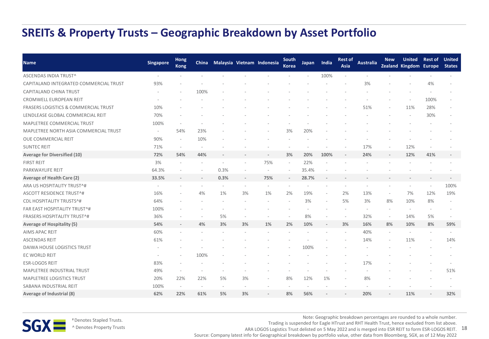## **SREITs & Property Trusts – Geographic Breakdown by Asset Portfolio**

| <b>Name</b>                            | <b>Singapore</b>         | <b>Hong</b><br><b>Kong</b> |      |      |    | China Malaysia Vietnam Indonesia | South<br><b>Korea</b>    | Japan | India          | <b>Rest of</b><br>Asia | <b>Australia</b> | <b>New</b>               | <b>United</b><br>Zealand Kingdom Europe | <b>Rest of</b> United    | <b>States</b> |
|----------------------------------------|--------------------------|----------------------------|------|------|----|----------------------------------|--------------------------|-------|----------------|------------------------|------------------|--------------------------|-----------------------------------------|--------------------------|---------------|
| ASCENDAS INDIA TRUST^                  |                          |                            |      |      |    |                                  |                          |       | 100%           |                        |                  |                          |                                         |                          |               |
| CAPITALAND INTEGRATED COMMERCIAL TRUST | 93%                      |                            |      |      |    |                                  |                          |       |                |                        | 3%               |                          |                                         | 4%                       |               |
| CAPITALAND CHINA TRUST                 |                          |                            | 100% |      |    |                                  |                          |       |                |                        |                  |                          |                                         |                          |               |
| <b>CROMWELL EUROPEAN REIT</b>          |                          |                            |      |      |    |                                  |                          |       |                |                        |                  |                          |                                         | 100%                     |               |
| FRASERS LOGISTICS & COMMERCIAL TRUST   | 10%                      |                            |      |      |    |                                  |                          |       |                |                        | 51%              |                          | 11%                                     | 28%                      |               |
| LENDLEASE GLOBAL COMMERCIAL REIT       | 70%                      |                            |      |      |    |                                  |                          |       |                |                        |                  |                          | $\overline{\phantom{a}}$                | 30%                      |               |
| MAPLETREE COMMERCIAL TRUST             | 100%                     |                            |      |      |    |                                  |                          |       |                |                        |                  |                          |                                         |                          |               |
| MAPLETREE NORTH ASIA COMMERCIAL TRUST  | $\overline{\phantom{a}}$ | 54%                        | 23%  |      |    |                                  | 3%                       | 20%   |                |                        |                  |                          |                                         |                          |               |
| OUE COMMERCIAL REIT                    | 90%                      |                            | 10%  |      |    |                                  |                          |       |                |                        |                  |                          |                                         |                          |               |
| <b>SUNTEC REIT</b>                     | 71%                      |                            |      |      |    |                                  |                          |       |                |                        | 17%              |                          | 12%                                     |                          |               |
| Average for Diversified (10)           | 72%                      | 54%                        | 44%  |      |    |                                  | 3%                       | 20%   | 100%           |                        | 24%              |                          | 12%                                     | 41%                      |               |
| <b>FIRST REIT</b>                      | 3%                       |                            |      |      |    | 75%                              | $\overline{\phantom{a}}$ | 22%   |                |                        |                  |                          |                                         |                          |               |
| PARKWAYLIFE REIT                       | 64.3%                    |                            |      | 0.3% |    | $\overline{\phantom{a}}$         | $\overline{\phantom{a}}$ | 35.4% |                |                        |                  |                          |                                         |                          |               |
| Average of Health Care (2)             | 33.5%                    |                            |      | 0.3% |    | 75%                              |                          | 28.7% |                |                        |                  |                          |                                         |                          |               |
| ARA US HOSPITALITY TRUST^#             |                          |                            |      |      |    |                                  |                          |       |                |                        |                  |                          |                                         |                          | 100%          |
| ASCOTT RESIDENCE TRUST^#               | 16%                      |                            | 4%   | 1%   | 3% | 1%                               | 2%                       | 19%   |                | 2%                     | 13%              | $\overline{a}$           | 7%                                      | 12%                      | 19%           |
| <b>CDL HOSPITALITY TRUSTS^#</b>        | 64%                      |                            |      |      |    |                                  |                          | 3%    |                | 5%                     | 3%               | 8%                       | 10%                                     | 8%                       |               |
| FAR EAST HOSPITALITY TRUST^#           | 100%                     |                            |      |      |    |                                  |                          |       |                |                        |                  |                          | $\overline{\phantom{a}}$                |                          |               |
| <b>FRASERS HOSPITALITY TRUST^#</b>     | 36%                      |                            |      | 5%   |    |                                  |                          | 8%    |                | $\overline{a}$         | 32%              | $\overline{\phantom{a}}$ | 14%                                     | 5%                       |               |
| <b>Average of Hospitality (5)</b>      | 54%                      |                            | 4%   | 3%   | 3% | 1%                               | 2%                       | 10%   | $\overline{a}$ | 3%                     | 16%              | 8%                       | 10%                                     | 8%                       | 59%           |
| AIMS APAC REIT                         | 60%                      |                            |      |      |    |                                  |                          |       |                | $\qquad \qquad -$      | 40%              |                          | $\overline{\phantom{a}}$                | $\overline{\phantom{a}}$ |               |
| <b>ASCENDAS REIT</b>                   | 61%                      |                            |      |      |    |                                  |                          |       |                |                        | 14%              |                          | 11%                                     |                          | 14%           |
| DAIWA HOUSE LOGISTICS TRUST            |                          |                            |      |      |    |                                  |                          | 100%  |                |                        |                  |                          |                                         |                          |               |
| EC WORLD REIT                          |                          |                            | 100% |      |    |                                  |                          |       |                |                        |                  |                          |                                         |                          |               |
| <b>ESR-LOGOS REIT</b>                  | 83%                      |                            |      |      |    |                                  |                          |       |                |                        | 17%              |                          |                                         |                          |               |
| <b>MAPLETREE INDUSTRIAL TRUST</b>      | 49%                      |                            |      |      |    |                                  |                          |       |                |                        |                  |                          |                                         |                          | 51%           |
| <b>MAPLETREE LOGISTICS TRUST</b>       | 20%                      | 22%                        | 22%  | 5%   | 3% |                                  | 8%                       | 12%   | 1%             |                        | 8%               |                          |                                         |                          |               |
| SABANA INDUSTRIAL REIT                 | 100%                     |                            |      |      |    |                                  |                          |       |                |                        |                  |                          |                                         |                          |               |
| Average of Industrial (8)              | 62%                      | 22%                        | 61%  | 5%   | 3% |                                  | 8%                       | 56%   |                |                        | 20%              |                          | 11%                                     |                          | 32%           |



# Denotes Stapled Trusts.

Note: Geographic breakdown percentages are rounded to a whole number. Trading is suspended for Eagle HTrust and RHT Health Trust, hence excluded from list above.

^ Denotes Property Trusts

ARA LOGOS Logistics Trust delisted on 5 May 2022 and is merged into ESR REIT to form ESR-LOGOS REIT. 18 Source: Company latest info for Geographical breakdown by portfolio value, other data from Bloomberg, SGX, as of 12 May 2022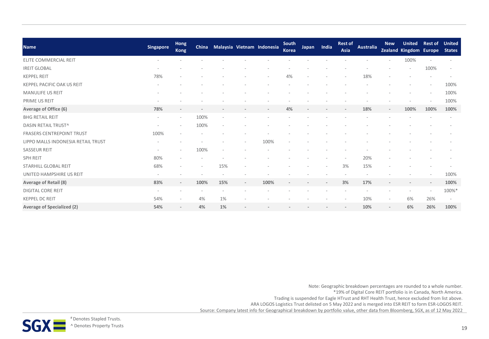| <b>Name</b>                        | <b>Singapore</b>         | <b>Hong</b><br><b>Kong</b> |                          |                          |                              | China Malaysia Vietnam Indonesia | South<br><b>Korea</b> | Japan | India | <b>Rest of</b><br>Asia | <b>Australia</b> | <b>New</b>               | <b>United</b><br>Zealand Kingdom Europe | <b>Rest of</b> | <b>United</b><br><b>States</b> |
|------------------------------------|--------------------------|----------------------------|--------------------------|--------------------------|------------------------------|----------------------------------|-----------------------|-------|-------|------------------------|------------------|--------------------------|-----------------------------------------|----------------|--------------------------------|
| <b>ELITE COMMERCIAL REIT</b>       |                          |                            |                          |                          |                              |                                  |                       |       |       |                        |                  |                          | 100%                                    |                |                                |
| <b>IREIT GLOBAL</b>                |                          |                            |                          |                          |                              |                                  |                       |       |       |                        |                  |                          |                                         | 100%           | $\overline{\phantom{a}}$       |
| <b>KEPPEL REIT</b>                 | 78%                      |                            |                          |                          |                              |                                  | 4%                    |       |       |                        | 18%              |                          |                                         |                |                                |
| KEPPEL PACIFIC OAK US REIT         | $\overline{\phantom{a}}$ |                            |                          |                          |                              |                                  |                       |       |       |                        |                  |                          |                                         |                | 100%                           |
| <b>MANULIFE US REIT</b>            |                          |                            |                          |                          |                              |                                  |                       |       |       |                        |                  |                          |                                         |                | 100%                           |
| PRIME US REIT                      |                          |                            |                          |                          |                              |                                  |                       |       |       |                        |                  |                          |                                         |                | 100%                           |
| Average of Office (6)              | 78%                      | $\overline{\phantom{a}}$   |                          |                          | $\qquad \qquad \blacksquare$ |                                  | 4%                    |       |       |                        | 18%              | $\overline{\phantom{a}}$ | 100%                                    | 100%           | 100%                           |
| <b>BHG RETAIL REIT</b>             | $\overline{\phantom{a}}$ | $\overline{\phantom{a}}$   | 100%                     | $\overline{\phantom{a}}$ |                              |                                  |                       |       |       |                        |                  |                          |                                         |                |                                |
| DASIN RETAIL TRUST^                | $\overline{\phantom{a}}$ | $\overline{\phantom{a}}$   | 100%                     |                          |                              |                                  |                       |       |       |                        |                  |                          |                                         |                |                                |
| <b>FRASERS CENTREPOINT TRUST</b>   | 100%                     |                            |                          |                          |                              |                                  |                       |       |       |                        |                  |                          |                                         |                |                                |
| LIPPO MALLS INDONESIA RETAIL TRUST |                          |                            |                          |                          |                              | 100%                             |                       |       |       |                        |                  |                          |                                         |                |                                |
| <b>SASSEUR REIT</b>                | $\overline{\phantom{a}}$ |                            | 100%                     |                          |                              |                                  |                       |       |       |                        |                  |                          |                                         |                |                                |
| <b>SPH REIT</b>                    | 80%                      |                            |                          |                          |                              |                                  |                       |       |       |                        | 20%              |                          |                                         |                |                                |
| STARHILL GLOBAL REIT               | 68%                      |                            | $\overline{\phantom{a}}$ | 15%                      |                              |                                  |                       |       |       | 3%                     | 15%              |                          |                                         |                |                                |
| UNITED HAMPSHIRE US REIT           | $\overline{\phantom{a}}$ |                            |                          |                          |                              |                                  |                       |       |       |                        |                  |                          |                                         |                | 100%                           |
| Average of Retail (8)              | 83%                      |                            | 100%                     | 15%                      | $\qquad \qquad \blacksquare$ | 100%                             |                       |       |       | 3%                     | 17%              |                          |                                         |                | 100%                           |
| <b>DIGITAL CORE REIT</b>           | $\overline{\phantom{a}}$ |                            |                          |                          |                              |                                  |                       |       |       |                        |                  |                          |                                         |                | 100%*                          |
| <b>KEPPEL DC REIT</b>              | 54%                      |                            | 4%                       | 1%                       |                              |                                  |                       |       |       |                        | 10%              | $\overline{\phantom{a}}$ | 6%                                      | 26%            | $\overline{\phantom{a}}$       |
| <b>Average of Specialized (2)</b>  | 54%                      | $\overline{\phantom{a}}$   | 4%                       | 1%                       | $\overline{\phantom{0}}$     |                                  |                       |       |       |                        | 10%              | $\overline{\phantom{a}}$ | 6%                                      | 26%            | 100%                           |

Note: Geographic breakdown percentages are rounded to a whole number. \*19% of Digital Core REIT portfolio is in Canada, North America. Trading is suspended for Eagle HTrust and RHT Health Trust, hence excluded from list above.

ARA LOGOS Logistics Trust delisted on 5 May 2022 and is merged into ESR REIT to form ESR-LOGOS REIT.

Source: Company latest info for Geographical breakdown by portfolio value, other data from Bloomberg, SGX, as of 12 May 2022

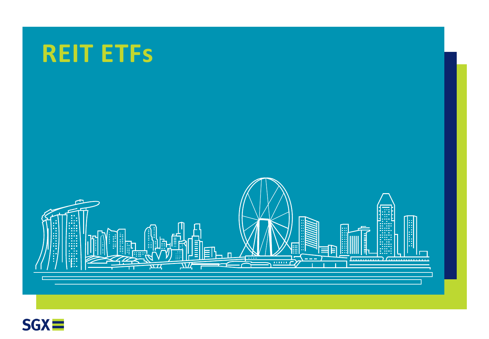

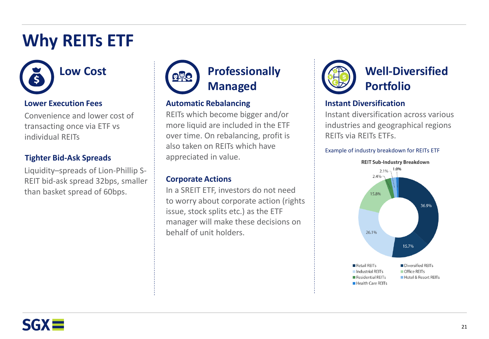# **Why REITs ETF**



## **Lower Execution Fees**

Convenience and lower cost of transacting once via ETF vs individual REITs

## **Tighter Bid-Ask Spreads**

Liquidity–spreads of Lion-Phillip S-REIT bid-ask spread 32bps, smaller than basket spread of 60bps.



## **Automatic Rebalancing**

REITs which become bigger and/or more liquid are included in the ETF over time. On rebalancing, profit is also taken on REITs which have appreciated in value.

## **Corporate Actions**

In a SREIT ETF, investors do not need to worry about corporate action (rights issue, stock splits etc.) as the ETF manager will make these decisions on behalf of unit holders.



# **Well-Diversified Portfolio**

## **Instant Diversification**

Instant diversification across various industries and geographical regions REITs via REITs ETFs.

## Example of industry breakdown for REITs ETF



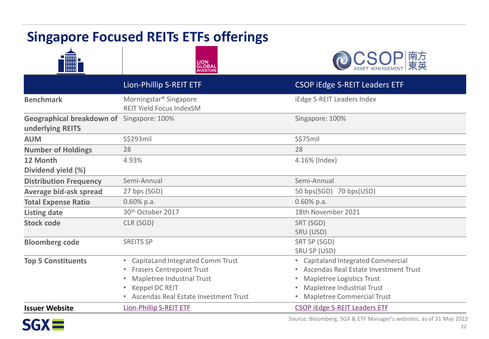# **Singapore Focused REITs ETFs offerings**







|                                                               | Lion-Phillip S-REIT ETF                                                                                                                                                                      | <b>CSOP iEdge S-REIT Leaders ETF</b>                                                                                                                                      |
|---------------------------------------------------------------|----------------------------------------------------------------------------------------------------------------------------------------------------------------------------------------------|---------------------------------------------------------------------------------------------------------------------------------------------------------------------------|
| <b>Benchmark</b>                                              | Morningstar <sup>®</sup> Singapore<br><b>REIT Yield Focus IndexSM</b>                                                                                                                        | iEdge S-REIT Leaders Index                                                                                                                                                |
| Geographical breakdown of Singapore: 100%<br>underlying REITS |                                                                                                                                                                                              | Singapore: 100%                                                                                                                                                           |
| <b>AUM</b>                                                    | S\$293mil                                                                                                                                                                                    | S\$75mil                                                                                                                                                                  |
| <b>Number of Holdings</b>                                     | 28                                                                                                                                                                                           | 28                                                                                                                                                                        |
| 12 Month<br>Dividend yield (%)                                | 4.93%                                                                                                                                                                                        | 4.16% (Index)                                                                                                                                                             |
| <b>Distribution Frequency</b>                                 | Semi-Annual                                                                                                                                                                                  | Semi-Annual                                                                                                                                                               |
| Average bid-ask spread                                        | 27 bps (SGD)                                                                                                                                                                                 | 50 bps(SGD) 70 bps(USD)                                                                                                                                                   |
| <b>Total Expense Ratio</b>                                    | $0.60\%$ p.a.                                                                                                                                                                                | $0.60\%$ p.a.                                                                                                                                                             |
| <b>Listing date</b>                                           | 30 <sup>th</sup> October 2017                                                                                                                                                                | 18th November 2021                                                                                                                                                        |
| <b>Stock code</b>                                             | CLR (SGD)                                                                                                                                                                                    | SRT (SGD)<br>SRU (USD)                                                                                                                                                    |
| <b>Bloomberg code</b>                                         | <b>SREITS SP</b>                                                                                                                                                                             | SRT SP (SGD)<br>SRU SP (USD)                                                                                                                                              |
| <b>Top 5 Constituents</b>                                     | CapitaLand Integrated Comm Trust<br>$\bullet$<br><b>Frasers Centrepoint Trust</b><br>$\bullet$<br>Mapletree Industrial Trust<br>Keppel DC REIT<br>۰<br>Ascendas Real Estate Investment Trust | • Capitaland Integrated Commercial<br>Ascendas Real Estate Investment Trust<br>Mapletree Logistics Trust<br>Mapletree Industrial Trust<br>۰<br>Mapletree Commercial Trust |
| <b>Issuer Website</b>                                         | <b>Lion-Phillip S-REIT ETF</b>                                                                                                                                                               | <b>CSOP iEdge S-REIT Leaders ETF</b>                                                                                                                                      |



Source: Bloomberg, SGX & ETF Manager's websites, as of 31 May 2022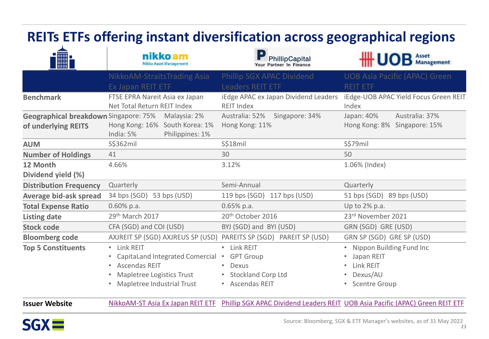| <b>REITs ETFs offering instant diversification across geographical regions</b> |                                                                                                                                                  |                                                                                                          |                                                                                                                 |  |  |  |  |
|--------------------------------------------------------------------------------|--------------------------------------------------------------------------------------------------------------------------------------------------|----------------------------------------------------------------------------------------------------------|-----------------------------------------------------------------------------------------------------------------|--|--|--|--|
| <b>THE</b>                                                                     | nikko am<br><b>Nikko Asset Management</b>                                                                                                        | PhillipCapital<br>Your Partner In Finance                                                                | <b>HHUOB</b> Asset                                                                                              |  |  |  |  |
|                                                                                | NikkoAM-StraitsTrading Asia<br>Ex Japan REIT ETF                                                                                                 | Phillip SGX APAC Dividend<br><b>Leaders REIT ETF</b>                                                     | <b>UOB Asia Pacific (APAC) Green</b><br><b>REIT ETF</b>                                                         |  |  |  |  |
| <b>Benchmark</b>                                                               | FTSE EPRA Nareit Asia ex Japan<br>Net Total Return REIT Index                                                                                    | iEdge APAC ex Japan Dividend Leaders<br><b>REIT Index</b>                                                | iEdge-UOB APAC Yield Focus Green REIT<br>Index                                                                  |  |  |  |  |
| Geographical breakdown Singapore: 75%<br>of underlying REITS                   | Malaysia: 2%<br>Hong Kong: 16% South Korea: 1%<br>India: 5%<br>Philippines: 1%                                                                   | Australia: 52%<br>Singapore: 34%<br>Hong Kong: 11%                                                       | Japan: 40%<br>Australia: 37%<br>Hong Kong: 8% Singapore: 15%                                                    |  |  |  |  |
| <b>AUM</b>                                                                     | S\$362mil                                                                                                                                        | <b>S\$18mil</b>                                                                                          | S\$79mil                                                                                                        |  |  |  |  |
| <b>Number of Holdings</b>                                                      | 41                                                                                                                                               | 30                                                                                                       | 50                                                                                                              |  |  |  |  |
| 12 Month<br>Dividend yield (%)                                                 | 4.66%                                                                                                                                            | 3.12%                                                                                                    | 1.06% (Index)                                                                                                   |  |  |  |  |
| <b>Distribution Frequency</b>                                                  | Quarterly                                                                                                                                        | Semi-Annual                                                                                              | Quarterly                                                                                                       |  |  |  |  |
| Average bid-ask spread                                                         | 34 bps (SGD) 53 bps (USD)                                                                                                                        | 119 bps (SGD) 117 bps (USD)                                                                              | 51 bps (SGD) 89 bps (USD)                                                                                       |  |  |  |  |
| <b>Total Expense Ratio</b>                                                     | $0.60\%$ p.a.                                                                                                                                    | $0.65%$ p.a.                                                                                             | Up to 2% p.a.                                                                                                   |  |  |  |  |
| <b>Listing date</b>                                                            | 29th March 2017                                                                                                                                  | 20 <sup>th</sup> October 2016                                                                            | 23rd November 2021                                                                                              |  |  |  |  |
| <b>Stock code</b>                                                              | CFA (SGD) and COI (USD)                                                                                                                          | BYJ (SGD) and BYI (USD)                                                                                  | GRN (SGD) GRE (USD)                                                                                             |  |  |  |  |
| <b>Bloomberg code</b>                                                          | AXJREIT SP (SGD) AXJREUS SP (USD) PAREITS SP (SGD) PAREIT SP (USD)                                                                               |                                                                                                          | GRN SP (SGD) GRE SP (USD)                                                                                       |  |  |  |  |
| <b>Top 5 Constituents</b>                                                      | • Link REIT<br>CapitaLand Integrated Comercial .<br><b>Ascendas REIT</b><br>Mapletree Logistics Trust<br>Mapletree Industrial Trust<br>$\bullet$ | Link REIT<br><b>GPT Group</b><br>Dexus<br><b>Stockland Corp Ltd</b><br><b>Ascendas REIT</b><br>$\bullet$ | • Nippon Building Fund Inc<br>Japan REIT<br>Link REIT<br>Dexus/AU<br><b>Scentre Group</b>                       |  |  |  |  |
| <b>Issuer Website</b>                                                          |                                                                                                                                                  |                                                                                                          | NikkoAM-ST Asia Ex Japan REIT ETF Phillip SGX APAC Dividend Leaders REIT UOB Asia Pacific (APAC) Green REIT ETF |  |  |  |  |